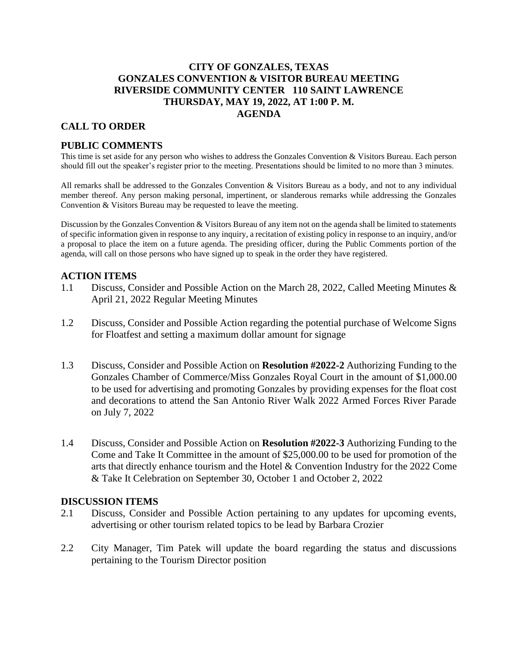# **CITY OF GONZALES, TEXAS GONZALES CONVENTION & VISITOR BUREAU MEETING RIVERSIDE COMMUNITY CENTER 110 SAINT LAWRENCE THURSDAY, MAY 19, 2022, AT 1:00 P. M. AGENDA**

## **CALL TO ORDER**

## **PUBLIC COMMENTS**

This time is set aside for any person who wishes to address the Gonzales Convention & Visitors Bureau. Each person should fill out the speaker's register prior to the meeting. Presentations should be limited to no more than 3 minutes.

All remarks shall be addressed to the Gonzales Convention & Visitors Bureau as a body, and not to any individual member thereof. Any person making personal, impertinent, or slanderous remarks while addressing the Gonzales Convention & Visitors Bureau may be requested to leave the meeting.

Discussion by the Gonzales Convention & Visitors Bureau of any item not on the agenda shall be limited to statements of specific information given in response to any inquiry, a recitation of existing policy in response to an inquiry, and/or a proposal to place the item on a future agenda. The presiding officer, during the Public Comments portion of the agenda, will call on those persons who have signed up to speak in the order they have registered.

### **ACTION ITEMS**

- 1.1 Discuss, Consider and Possible Action on the March 28, 2022, Called Meeting Minutes & April 21, 2022 Regular Meeting Minutes
- 1.2 Discuss, Consider and Possible Action regarding the potential purchase of Welcome Signs for Floatfest and setting a maximum dollar amount for signage
- 1.3 Discuss, Consider and Possible Action on **Resolution #2022-2** Authorizing Funding to the Gonzales Chamber of Commerce/Miss Gonzales Royal Court in the amount of \$1,000.00 to be used for advertising and promoting Gonzales by providing expenses for the float cost and decorations to attend the San Antonio River Walk 2022 Armed Forces River Parade on July 7, 2022
- 1.4 Discuss, Consider and Possible Action on **Resolution #2022-3** Authorizing Funding to the Come and Take It Committee in the amount of \$25,000.00 to be used for promotion of the arts that directly enhance tourism and the Hotel & Convention Industry for the 2022 Come & Take It Celebration on September 30, October 1 and October 2, 2022

#### **DISCUSSION ITEMS**

- 2.1 Discuss, Consider and Possible Action pertaining to any updates for upcoming events, advertising or other tourism related topics to be lead by Barbara Crozier
- 2.2 City Manager, Tim Patek will update the board regarding the status and discussions pertaining to the Tourism Director position